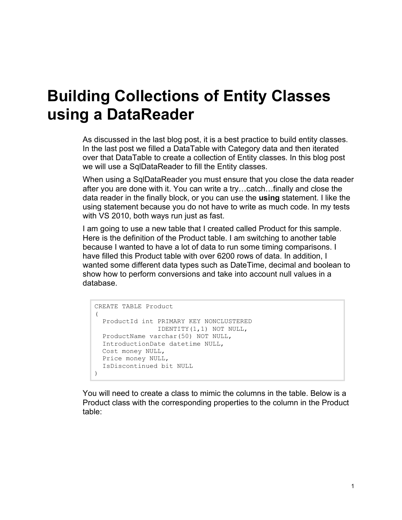## **Building Collections of Entity Classes using a DataReader**

As discussed in the last blog post, it is a best practice to build entity classes. In the last post we filled a DataTable with Category data and then iterated over that DataTable to create a collection of Entity classes. In this blog post we will use a SqlDataReader to fill the Entity classes.

When using a SqlDataReader you must ensure that you close the data reader after you are done with it. You can write a try…catch…finally and close the data reader in the finally block, or you can use the **using** statement. I like the using statement because you do not have to write as much code. In my tests with VS 2010, both ways run just as fast.

I am going to use a new table that I created called Product for this sample. Here is the definition of the Product table. I am switching to another table because I wanted to have a lot of data to run some timing comparisons. I have filled this Product table with over 6200 rows of data. In addition, I wanted some different data types such as DateTime, decimal and boolean to show how to perform conversions and take into account null values in a database.

```
CREATE TABLE Product
\left( ProductId int PRIMARY KEY NONCLUSTERED 
                 IDENTITY(1,1) NOT NULL,
  ProductName varchar(50) NOT NULL,
  IntroductionDate datetime NULL,
  Cost money NULL,
  Price money NULL,
   IsDiscontinued bit NULL
)
```
You will need to create a class to mimic the columns in the table. Below is a Product class with the corresponding properties to the column in the Product table: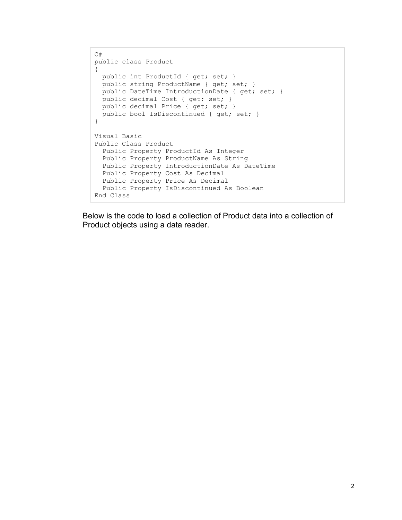```
C#public class Product
{
  public int ProductId { get; set; }
  public string ProductName { get; set; }
 public DateTime IntroductionDate { get; set; }
  public decimal Cost { get; set; }
 public decimal Price { get; set; }
  public bool IsDiscontinued { get; set; } 
}
Visual Basic
Public Class Product
  Public Property ProductId As Integer
  Public Property ProductName As String
  Public Property IntroductionDate As DateTime
  Public Property Cost As Decimal
  Public Property Price As Decimal
  Public Property IsDiscontinued As Boolean
End Class
```
Below is the code to load a collection of Product data into a collection of Product objects using a data reader.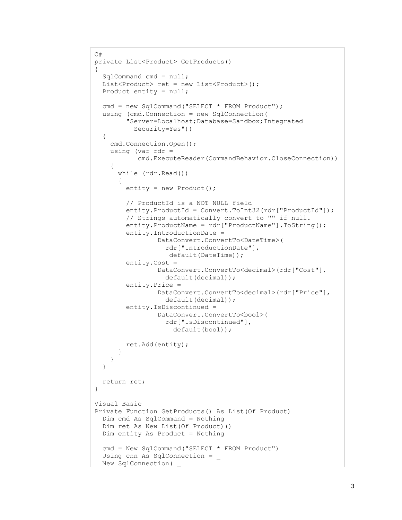```
C#
private List<Product> GetProducts()
{
  SqlCommand cmd = null;
 List<Product> ret = new List<Product>();
  Product entity = null;
 cmd = new SqlCommand("SELECT * FROM Product");
   using (cmd.Connection = new SqlConnection(
         "Server=Localhost;Database=Sandbox;Integrated
           Security=Yes"))
   {
     cmd.Connection.Open();
    using (var rdr = cmd.ExecuteReader(CommandBehavior.CloseConnection))
     {
       while (rdr.Read())
       {
         entity = new Product();
         // ProductId is a NOT NULL field
        entity.ProductId = Convert.ToInt32(rdr["ProductId"]);
         // Strings automatically convert to "" if null.
         entity.ProductName = rdr["ProductName"].ToString();
         entity.IntroductionDate =
                 DataConvert.ConvertTo<DateTime>(
                   rdr["IntroductionDate"],
                    default(DateTime));
         entity.Cost =
                 DataConvert.ConvertTo<decimal>(rdr["Cost"],
                   default(decimal));
         entity.Price =
                 DataConvert.ConvertTo<decimal>(rdr["Price"],
                   default(decimal));
         entity.IsDiscontinued =
                 DataConvert.ConvertTo<bool>(
                   rdr["IsDiscontinued"],
                      default(bool));
         ret.Add(entity);
       }
     }
   }
  return ret;
}
Visual Basic
Private Function GetProducts() As List(Of Product)
   Dim cmd As SqlCommand = Nothing
   Dim ret As New List(Of Product)()
  Dim entity As Product = Nothing
 cmd = New SqlCommand("SELECT * FROM Product")
 Using cnn As SqlConnection =
   New SqlConnection( _
```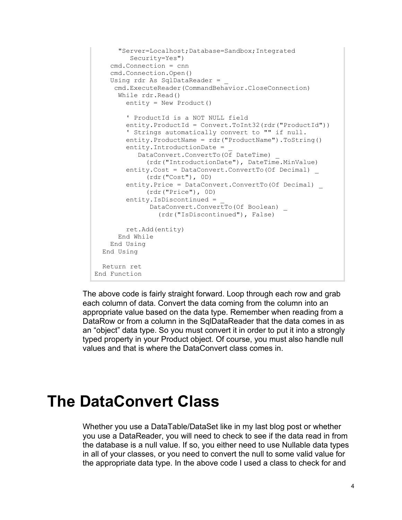```
 "Server=Localhost;Database=Sandbox;Integrated
          Security=Yes")
     cmd.Connection = cnn
     cmd.Connection.Open()
    Using rdr As SqlDataReader =
      cmd.ExecuteReader(CommandBehavior.CloseConnection)
       While rdr.Read()
         entity = New Product()
         ' ProductId is a NOT NULL field
         entity.ProductId = Convert.ToInt32(rdr("ProductId"))
         ' Strings automatically convert to "" if null.
         entity.ProductName = rdr("ProductName").ToString()
        entity.IntroductionDate =
            DataConvert.ConvertTo(Of DateTime) _
               (rdr("IntroductionDate"), DateTime.MinValue)
         entity.Cost = DataConvert.ConvertTo(Of Decimal) _
              (rdr("Cost"), 0D)
         entity.Price = DataConvert.ConvertTo(Of Decimal) _
              (rdr("Price"), 0D)
        entity. IsDiscontinued =
              DataConvert.ConvertTo(Of Boolean)
                 (rdr("IsDiscontinued"), False)
         ret.Add(entity)
       End While
     End Using
   End Using
   Return ret
End Function
```
The above code is fairly straight forward. Loop through each row and grab each column of data. Convert the data coming from the column into an appropriate value based on the data type. Remember when reading from a DataRow or from a column in the SqlDataReader that the data comes in as an "object" data type. So you must convert it in order to put it into a strongly typed property in your Product object. Of course, you must also handle null values and that is where the DataConvert class comes in.

## **The DataConvert Class**

Whether you use a DataTable/DataSet like in my last blog post or whether you use a DataReader, you will need to check to see if the data read in from the database is a null value. If so, you either need to use Nullable data types in all of your classes, or you need to convert the null to some valid value for the appropriate data type. In the above code I used a class to check for and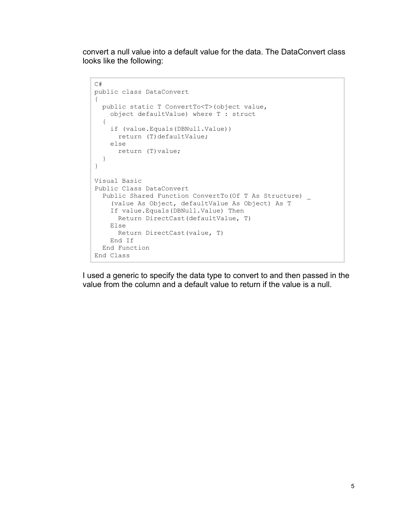convert a null value into a default value for the data. The DataConvert class looks like the following:

```
C#
public class DataConvert
{
  public static T ConvertTo<T>(object value,
    object defaultValue) where T : struct
   {
     if (value.Equals(DBNull.Value))
      return (T)defaultValue;
    else
       return (T)value;
  }
}
Visual Basic
Public Class DataConvert
 Public Shared Function ConvertTo(Of T As Structure) _
     (value As Object, defaultValue As Object) As T
     If value.Equals(DBNull.Value) Then
       Return DirectCast(defaultValue, T)
     Else
       Return DirectCast(value, T)
     End If
  End Function
End Class
```
I used a generic to specify the data type to convert to and then passed in the value from the column and a default value to return if the value is a null.